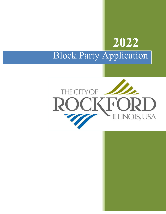# **2022** Block Party Application

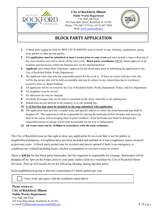



## **BLOCK PARTY APPLICATION**

- **1.** A block party cannot be held for PRIVATE PURPOSES such as family events, birthdays, graduations, going away parties or other private parties.
- **2.** The **application must be submitted at least 4 weeks prior to your event** and must include a map or drawing of the exact location you wish to block off for your event. **Block party coordinator** MUST obtain approval of all residents and businesses within the blocked area via the attached petition.
- **3. Applicant** must obtain their Alderman's approval for the block party prior to submitting the application to the City of Rockford Public Works Department.
- **4.** The applicant must state who the responsible person for the event is. If there are issues with the event, this will be the person who will be held accountable and may be subject to any tickets/fines due to rowdiness, excessive noise or illegal drinking.
- **5.** All applicants will be reviewed by the City of Rockford Public Works Department, Police, and Fire Department.
- **6.** All neighbors must be invited.
- **7.** No admission fee may be charged.
- **8.** Alcoholic beverages may not be sold or consumed on the street, sidewalk or city parking lots.
- **9.** Staked tents are not allowed in the roadway or in city parking lots.
- **10. A 15-foot fire lane must be included on the map submitted with application.**
- **11.** The application must provide a contact name and specific address to where the metal barricade legs shall be dropped off. The organizer(s) will be responsible for placing the barricades before the party and removing them at the end as well as keeping them in good condition. If the barricades are found in disrepair the responsible person in charge will be held accountable for the cost of replacement.
- **12. All events must end by 10:00pm in accordance with the noise ordinance.**

The City of Rockford reserves the right to deny any application for an event that is not for public or neighborhood purposes, if neighbors have not been included and notified or if non-compliance issues occurred in previous years. A block party permit may be revoked and streets opened if there is an emergency or conditions are violated-including hours, alcohol consumption or excessive noise or crowd.

There is **\$30 fee** for the block party/barricades, but the organizer is responsible for cleanup. Barricades will be dropped off by 3pm on the Friday prior to your party (unless held on a weekday) by City of Rockford Street Division. Pick up will usually be on the following Monday during daytime hours.

Each neighborhood group is allowed a maximum of 2 block parties per year.

I have read, and agree with the conditons stated above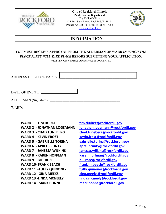



## **INFORMATION**

### **YOU MUST RECEIVE APPROVAL FROM THE ALDERMAN OF WARD** *IN WHICH THE BLOCK PARTY WILL TAKE PLACE* **BEFORE SUBMITTING YOUR APPLICATION.**

**(**WRITTEN OR VERBAL APPROVAL IS ACCEPTED)

| <b>ADDRESS OF BLOCK PARTY:</b> |  |
|--------------------------------|--|
|                                |  |
| DATE OF EVENT:                 |  |
| ALDERMAN (Signature):          |  |
| WARD:                          |  |

**WARD 1 - TIM DURKEE tim.durkee@rockfordil.gov WARD 2 - JONATHAN LOGEMANN jonathan.logemann@rockfordil.gov** WARD 3 - CHAD TUNEBERG chad.tuneberg@rockfordil.gov WARD 4 - KEVIN FROST **kevin.frost@rockfordil.gov WARD 5 - GABRIELLE TORINA gabrielle.torina@rockfordil.gov WARD 6 - APREL PRUNTY aprel.prunty@rockfordil.gov WARD 7 - JANESSA WILKINS janessa.wilkins@rockfordil.gov WARD 8 - KAREN HOFFMAN karen.hoffman@rockfordil.gov WARD 9 - BILL ROSE bill.rose@rockfordil.gov WARD 10- FRANK BEACH franklin.beach@rockfordil.gov** WARD 11-TUFFY QUINONEZ tuffy.quinonez@rockfordil.gov WARD 12 –GINA MEEKS gina.meeks@rockfordil.gov WARD 13 -LINDA MCNEELY linda.mcneely@rockfordil.gov **WARD 14 –MARK BONNE mark.bonne@rockfordil.gov**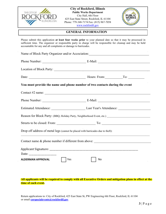



#### **GENERAL INFORMATION**

Please submit this application **at least four weeks prior** to your planned date so that it may be processed in sufficient time. The organizer or responsible party in charge will be responsible for cleanup and may be held accountable for any and all complaints or damage to barricades.

| Name of Block Party Organizer and/or Association: Manuscripture of Block Party Organizer and/or Association: |    |  |  |  |  |
|--------------------------------------------------------------------------------------------------------------|----|--|--|--|--|
|                                                                                                              |    |  |  |  |  |
| Location of Block Party:                                                                                     |    |  |  |  |  |
|                                                                                                              |    |  |  |  |  |
| You must provide the name and phone number of two contacts during the event                                  |    |  |  |  |  |
|                                                                                                              |    |  |  |  |  |
|                                                                                                              |    |  |  |  |  |
|                                                                                                              |    |  |  |  |  |
| Reason for Block Party: (BBQ, Holiday Party, Neighborhood Event, etc.) _____________________________         |    |  |  |  |  |
|                                                                                                              |    |  |  |  |  |
| Drop off address of metal legs (cannot be placed with barricades due to theft):                              |    |  |  |  |  |
| Contact name & phone number if different from above: ____________________________                            |    |  |  |  |  |
|                                                                                                              |    |  |  |  |  |
|                                                                                                              |    |  |  |  |  |
| ALDERMAN APPROVAL<br>Yes                                                                                     | No |  |  |  |  |
|                                                                                                              |    |  |  |  |  |

#### **All applicants will be required to comply with all Executive Orders and mitigation plans in effect at the time of each event.**

Return applications to: City of Rockford, 425 East State St, PW Engineering 6th Floor, Rockford, IL 61104 or email **corspecialevents@rockfordil.gov**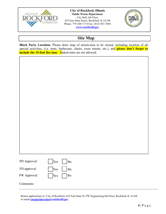



# **Site Map**

**Block Party Location:** Please draw map of streets/area to be closed, including location of all special activities, (i.e. tents, barbecues, chairs, cross streets, etc.), and **please don't forget to include the 15-foot fire lane.** Staked tents are not allowed.

| PD Approval: | $ $ Yes $ $ No |  |
|--------------|----------------|--|
| FD approval: | $ $ Yes $ $ No |  |
| PW Approval: | $ $ Yes $ $ No |  |
| `omments:    |                |  |

Return applications to: City of Rockford, 425 East State St, PW Engineering 6th Floor, Rockford, IL 61104 or email **corspecialevents@rockfordil.gov**

 $\mathcal{L}_\mathcal{L} = \{ \mathcal{L}_\mathcal{L} = \{ \mathcal{L}_\mathcal{L} = \{ \mathcal{L}_\mathcal{L} = \{ \mathcal{L}_\mathcal{L} = \{ \mathcal{L}_\mathcal{L} = \{ \mathcal{L}_\mathcal{L} = \{ \mathcal{L}_\mathcal{L} = \{ \mathcal{L}_\mathcal{L} = \{ \mathcal{L}_\mathcal{L} = \{ \mathcal{L}_\mathcal{L} = \{ \mathcal{L}_\mathcal{L} = \{ \mathcal{L}_\mathcal{L} = \{ \mathcal{L}_\mathcal{L} = \{ \mathcal{L}_\mathcal{$